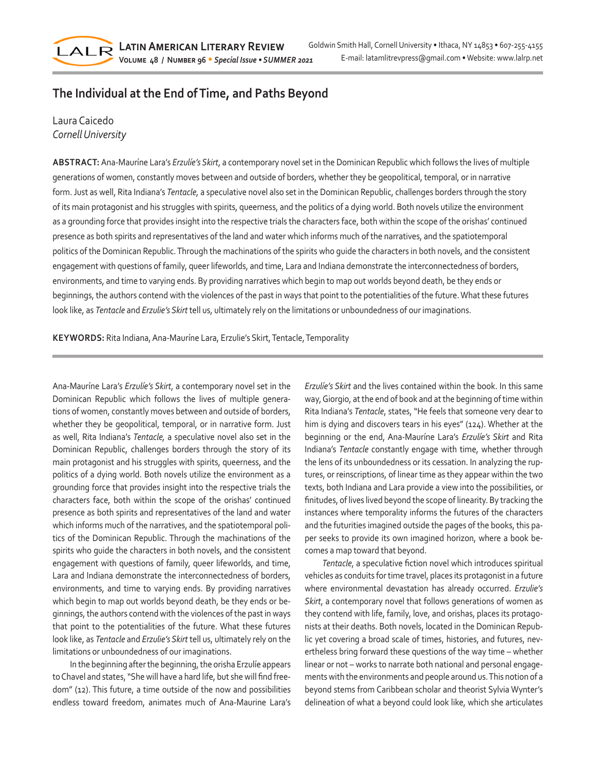# **The Individual at the End of Time, and Paths Beyond**

## Laura Caicedo *Cornell University*

LALR

**ABSTRACT:** Ana-Mauríne Lara's *Erzulíe's Skirt*, a contemporary novel set in the Dominican Republic which follows the lives of multiple generations of women, constantly moves between and outside of borders, whether they be geopolitical, temporal, or in narrative form. Just as well, Rita Indiana's *Tentacle,* a speculative novel also set in the Dominican Republic, challenges borders through the story of its main protagonist and his struggles with spirits, queerness, and the politics of a dying world. Both novels utilize the environment as a grounding force that provides insight into the respective trials the characters face, both within the scope of the orishas' continued presence as both spirits and representatives of the land and water which informs much of the narratives, and the spatiotemporal politics of the Dominican Republic. Through the machinations of the spirits who guide the characters in both novels, and the consistent engagement with questions of family, queer lifeworlds, and time, Lara and Indiana demonstrate the interconnectedness of borders, environments, and time to varying ends. By providing narratives which begin to map out worlds beyond death, be they ends or beginnings, the authors contend with the violences of the past in ways that point to the potentialities of the future. What these futures look like, as *Tentacle* and *Erzulie's Skirt* tell us, ultimately rely on the limitations or unboundedness of our imaginations.

**KEYWORDS:** Rita Indiana, Ana-Mauríne Lara, Erzulie's Skirt, Tentacle, Temporality

Ana-Mauríne Lara's *Erzulíe's Skirt*, a contemporary novel set in the Dominican Republic which follows the lives of multiple generations of women, constantly moves between and outside of borders, whether they be geopolitical, temporal, or in narrative form. Just as well, Rita Indiana's *Tentacle,* a speculative novel also set in the Dominican Republic, challenges borders through the story of its main protagonist and his struggles with spirits, queerness, and the politics of a dying world. Both novels utilize the environment as a grounding force that provides insight into the respective trials the characters face, both within the scope of the orishas' continued presence as both spirits and representatives of the land and water which informs much of the narratives, and the spatiotemporal politics of the Dominican Republic. Through the machinations of the spirits who guide the characters in both novels, and the consistent engagement with questions of family, queer lifeworlds, and time, Lara and Indiana demonstrate the interconnectedness of borders, environments, and time to varying ends. By providing narratives which begin to map out worlds beyond death, be they ends or beginnings, the authors contend with the violences of the past in ways that point to the potentialities of the future. What these futures look like, as *Tentacle* and *Erzulie's Skirt* tell us, ultimately rely on the limitations or unboundedness of our imaginations.

In the beginning after the beginning, the orisha Erzulíe appears to Chavel and states, "She will have a hard life, but she will find freedom" (12). This future, a time outside of the now and possibilities endless toward freedom, animates much of Ana-Maurine Lara's *Erzulíe's Skirt* and the lives contained within the book. In this same way, Giorgio, at the end of book and at the beginning of time within Rita Indiana's *Tentacle*, states, "He feels that someone very dear to him is dying and discovers tears in his eyes" (124). Whether at the beginning or the end, Ana-Mauríne Lara's *Erzulíe's Skirt* and Rita Indiana's *Tentacle* constantly engage with time, whether through the lens of its unboundedness or its cessation. In analyzing the ruptures, or reinscriptions, of linear time as they appear within the two texts, both Indiana and Lara provide a view into the possibilities, or finitudes, of lives lived beyond the scope of linearity. By tracking the instances where temporality informs the futures of the characters and the futurities imagined outside the pages of the books, this paper seeks to provide its own imagined horizon, where a book becomes a map toward that beyond.

*Tentacle*, a speculative fiction novel which introduces spiritual vehicles as conduits for time travel, places its protagonist in a future where environmental devastation has already occurred. *Erzulie's Skirt*, a contemporary novel that follows generations of women as they contend with life, family, love, and orishas, places its protagonists at their deaths. Both novels, located in the Dominican Republic yet covering a broad scale of times, histories, and futures, nevertheless bring forward these questions of the way time – whether linear or not – works to narrate both national and personal engagements with the environments and people around us. This notion of a beyond stems from Caribbean scholar and theorist Sylvia Wynter's delineation of what a beyond could look like, which she articulates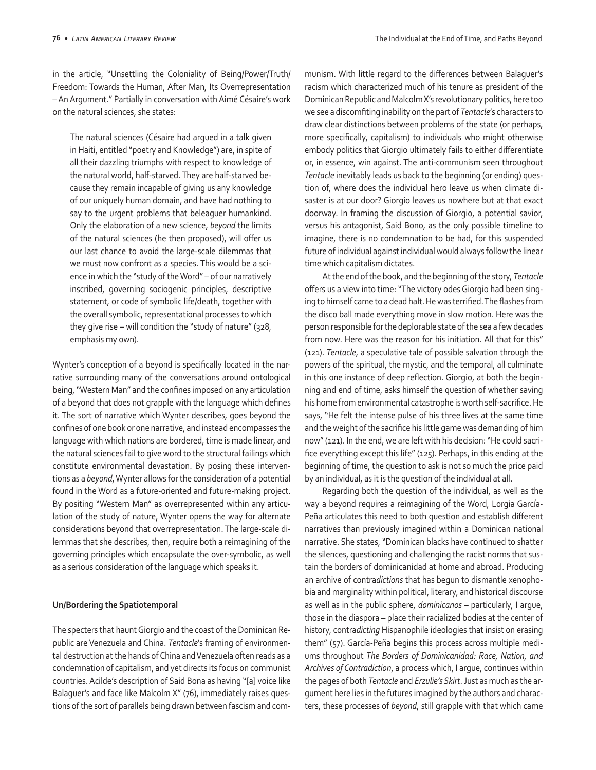in the article, "Unsettling the Coloniality of Being/Power/Truth/ Freedom: Towards the Human, After Man, Its Overrepresentation – An Argument." Partially in conversation with Aimé Césaire's work on the natural sciences, she states:

The natural sciences (Césaire had argued in a talk given in Haiti, entitled "poetry and Knowledge") are, in spite of all their dazzling triumphs with respect to knowledge of the natural world, half-starved. They are half-starved because they remain incapable of giving us any knowledge of our uniquely human domain, and have had nothing to say to the urgent problems that beleaguer humankind. Only the elaboration of a new science, *beyond* the limits of the natural sciences (he then proposed), will offer us our last chance to avoid the large-scale dilemmas that we must now confront as a species. This would be a science in which the "study of the Word" – of our narratively inscribed, governing sociogenic principles, descriptive statement, or code of symbolic life/death, together with the overall symbolic, representational processes to which they give rise – will condition the "study of nature" (328, emphasis my own).

Wynter's conception of a beyond is specifically located in the narrative surrounding many of the conversations around ontological being, "Western Man" and the confines imposed on any articulation of a beyond that does not grapple with the language which defines it. The sort of narrative which Wynter describes, goes beyond the confines of one book or one narrative, and instead encompasses the language with which nations are bordered, time is made linear, and the natural sciences fail to give word to the structural failings which constitute environmental devastation. By posing these interventions as a *beyond*, Wynter allows for the consideration of a potential found in the Word as a future-oriented and future-making project. By positing "Western Man" as overrepresented within any articulation of the study of nature, Wynter opens the way for alternate considerations beyond that overrepresentation. The large-scale dilemmas that she describes, then, require both a reimagining of the governing principles which encapsulate the over-symbolic, as well as a serious consideration of the language which speaks it.

#### **Un/Bordering the Spatiotemporal**

The specters that haunt Giorgio and the coast of the Dominican Republic are Venezuela and China. *Tentacle*'s framing of environmental destruction at the hands of China and Venezuela often reads as a condemnation of capitalism, and yet directs its focus on communist countries. Acilde's description of Said Bona as having "[a] voice like Balaguer's and face like Malcolm X" (76), immediately raises questions of the sort of parallels being drawn between fascism and communism. With little regard to the differences between Balaguer's racism which characterized much of his tenure as president of the Dominican Republic and Malcolm X's revolutionary politics, here too we see a discomfiting inability on the part of *Tentacle*'s characters to draw clear distinctions between problems of the state (or perhaps, more specifically, capitalism) to individuals who might otherwise embody politics that Giorgio ultimately fails to either differentiate or, in essence, win against. The anti-communism seen throughout *Tentacle* inevitably leads us back to the beginning (or ending) question of, where does the individual hero leave us when climate disaster is at our door? Giorgio leaves us nowhere but at that exact doorway. In framing the discussion of Giorgio, a potential savior, versus his antagonist, Said Bono, as the only possible timeline to imagine, there is no condemnation to be had, for this suspended future of individual against individual would always follow the linear time which capitalism dictates.

At the end of the book, and the beginning of the story, *Tentacle*  offers us a view into time: "The victory odes Giorgio had been singing to himself came to a dead halt. He was terrified. The flashes from the disco ball made everything move in slow motion. Here was the person responsible for the deplorable state of the sea a few decades from now. Here was the reason for his initiation. All that for this" (121). *Tentacle*, a speculative tale of possible salvation through the powers of the spiritual, the mystic, and the temporal, all culminate in this one instance of deep reflection. Giorgio, at both the beginning and end of time, asks himself the question of whether saving his home from environmental catastrophe is worth self-sacrifice. He says, "He felt the intense pulse of his three lives at the same time and the weight of the sacrifice his little game was demanding of him now" (121). In the end, we are left with his decision: "He could sacrifice everything except this life" (125). Perhaps, in this ending at the beginning of time, the question to ask is not so much the price paid by an individual, as it is the question of the individual at all.

Regarding both the question of the individual, as well as the way a beyond requires a reimagining of the Word, Lorgia García-Peña articulates this need to both question and establish different narratives than previously imagined within a Dominican national narrative. She states, "Dominican blacks have continued to shatter the silences, questioning and challenging the racist norms that sustain the borders of dominicanidad at home and abroad. Producing an archive of contra*dictions* that has begun to dismantle xenophobia and marginality within political, literary, and historical discourse as well as in the public sphere, *dominicanos* – particularly, I argue, those in the diaspora – place their racialized bodies at the center of history, contra*dicting* Hispanophile ideologies that insist on erasing them" (57). García-Peña begins this process across multiple mediums throughout *The Borders of Dominicanidad: Race, Nation, and Archives of Contradiction*, a process which, I argue, continues within the pages of both *Tentacle* and *Erzulie's Skirt*. Just as much as the argument here lies in the futures imagined by the authors and characters, these processes of *beyond*, still grapple with that which came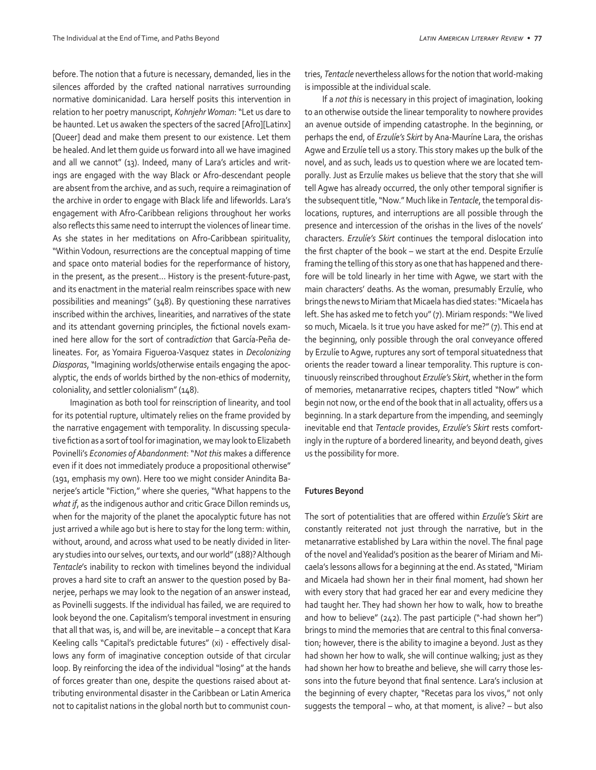before. The notion that a future is necessary, demanded, lies in the silences afforded by the crafted national narratives surrounding normative dominicanidad. Lara herself posits this intervention in relation to her poetry manuscript, *Kohnjehr Woman*: "Let us dare to be haunted. Let us awaken the specters of the sacred [Afro][Latinx] [Queer] dead and make them present to our existence. Let them be healed. And let them guide us forward into all we have imagined and all we cannot" (13). Indeed, many of Lara's articles and writings are engaged with the way Black or Afro-descendant people are absent from the archive, and as such, require a reimagination of the archive in order to engage with Black life and lifeworlds. Lara's engagement with Afro-Caribbean religions throughout her works also reflects this same need to interrupt the violences of linear time. As she states in her meditations on Afro-Caribbean spirituality, "Within Vodoun, resurrections are the conceptual mapping of time and space onto material bodies for the reperformance of history, in the present, as the present… History is the present-future-past, and its enactment in the material realm reinscribes space with new possibilities and meanings" (348). By questioning these narratives inscribed within the archives, linearities, and narratives of the state and its attendant governing principles, the fictional novels examined here allow for the sort of contra*diction* that García-Peña delineates. For, as Yomaira Figueroa-Vasquez states in *Decolonizing Diasporas*, "Imagining worlds/otherwise entails engaging the apocalyptic, the ends of worlds birthed by the non-ethics of modernity, coloniality, and settler colonialism" (148).

Imagination as both tool for reinscription of linearity, and tool for its potential rupture, ultimately relies on the frame provided by the narrative engagement with temporality. In discussing speculative fiction as a sort of tool for imagination, we may look to Elizabeth Povinelli's *Economies of Abandonment*: "*Not this* makes a difference even if it does not immediately produce a propositional otherwise" (191, emphasis my own). Here too we might consider Anindita Banerjee's article "Fiction," where she queries, "What happens to the *what if*, as the indigenous author and critic Grace Dillon reminds us, when for the majority of the planet the apocalyptic future has not just arrived a while ago but is here to stay for the long term: within, without, around, and across what used to be neatly divided in literary studies into our selves, our texts, and our world" (188)? Although *Tentacle*'s inability to reckon with timelines beyond the individual proves a hard site to craft an answer to the question posed by Banerjee, perhaps we may look to the negation of an answer instead, as Povinelli suggests. If the individual has failed, we are required to look beyond the one. Capitalism's temporal investment in ensuring that all that was, is, and will be, are inevitable – a concept that Kara Keeling calls "Capital's predictable futures" (xi) - effectively disallows any form of imaginative conception outside of that circular loop. By reinforcing the idea of the individual "losing" at the hands of forces greater than one, despite the questions raised about attributing environmental disaster in the Caribbean or Latin America not to capitalist nations in the global north but to communist countries, *Tentacle* nevertheless allows for the notion that world-making is impossible at the individual scale.

If a *not this* is necessary in this project of imagination, looking to an otherwise outside the linear temporality to nowhere provides an avenue outside of impending catastrophe. In the beginning, or perhaps the end, of *Erzulíe's Skirt* by Ana-Mauríne Lara, the orishas Agwe and Erzulíe tell us a story. This story makes up the bulk of the novel, and as such, leads us to question where we are located temporally. Just as Erzulíe makes us believe that the story that she will tell Agwe has already occurred, the only other temporal signifier is the subsequent title, "Now." Much like in *Tentacle*, the temporal dislocations, ruptures, and interruptions are all possible through the presence and intercession of the orishas in the lives of the novels' characters. *Erzulíe's Skirt* continues the temporal dislocation into the first chapter of the book – we start at the end. Despite Erzulíe framing the telling of this story as one that has happened and therefore will be told linearly in her time with Agwe, we start with the main characters' deaths. As the woman, presumably Erzulíe, who brings the news to Miriam that Micaela has died states: "Micaela has left. She has asked me to fetch you" (7). Miriam responds: "We lived so much, Micaela. Is it true you have asked for me?" (7). This end at the beginning, only possible through the oral conveyance offered by Erzulíe to Agwe, ruptures any sort of temporal situatedness that orients the reader toward a linear temporality. This rupture is continuously reinscribed throughout *Erzulíe's Skirt*, whether in the form of memories, metanarrative recipes, chapters titled "Now" which begin not now, or the end of the book that in all actuality, offers us a beginning. In a stark departure from the impending, and seemingly inevitable end that *Tentacle* provides, *Erzulíe's Skirt* rests comfortingly in the rupture of a bordered linearity, and beyond death, gives us the possibility for more.

#### **Futures Beyond**

The sort of potentialities that are offered within *Erzulíe's Skirt* are constantly reiterated not just through the narrative, but in the metanarrative established by Lara within the novel. The final page of the novel and Yealidad's position as the bearer of Miriam and Micaela's lessons allows for a beginning at the end. As stated, "Miriam and Micaela had shown her in their final moment, had shown her with every story that had graced her ear and every medicine they had taught her. They had shown her how to walk, how to breathe and how to believe" (242). The past participle ("-had shown her") brings to mind the memories that are central to this final conversation; however, there is the ability to imagine a beyond. Just as they had shown her how to walk, she will continue walking; just as they had shown her how to breathe and believe, she will carry those lessons into the future beyond that final sentence. Lara's inclusion at the beginning of every chapter, "Recetas para los vivos," not only suggests the temporal – who, at that moment, is alive? – but also